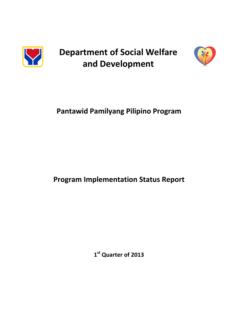

**Department of Social Welfare and Development**



# **Pantawid Pamilyang Pilipino Program**

# **Program Implementation Status Report**

**1 st Quarter of 2013**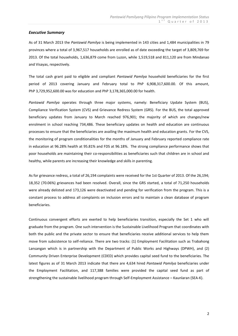#### *Executive Summary*

As of 31 March 2013 the *Pantawid Pamilya* is being implemented in 143 cities and 1,484 municipalities in 79 provinces where a total of 3,967,517 households are enrolled as of date exceeding the target of 3,809,769 for 2013. Of the total households, 1,636,879 come from Luzon, while 1,519,518 and 811,120 are from Mindanao and Visayas, respectively.

The total cash grant paid to eligible and compliant *Pantawid Pamilya* household beneficiaries for the first period of 2013 covering January and February total to PhP 6,908,317,600.00. Of this amount, PhP 3,729,952,600.00 was for education and PhP 3,178,365,000.00 for health.

*Pantawid Pamilya* operates through three major systems, namely: Beneficiary Update System (BUS), Compliance Verification System (CVS) and Grievance Redress System (GRS). For the BUS, the total approved beneficiary updates from January to March reached 976,901; the majority of which are changes/new enrolment in school reaching 734,486. These beneficiary updates on health and education are continuous processes to ensure that the beneficiaries are availing the maximum health and education grants. For the CVS, the monitoring of program conditionalities for the months of January and February reported compliance rate in education at 96.28% health at 95.81% and FDS at 96.18%. The strong compliance performance shows that poor households are maintaining their co-responsibilities as beneficiaries such that children are in school and healthy, while parents are increasing their knowledge and skills in parenting.

As for grievance redress, a total of 26,194 complaints were received for the 1st Quarter of 2013. Of the 26,194; 18,352 (70.06%) grievances had been resolved. Overall, since the GRS started, a total of 71,250 households were already delisted and 173,126 were deactivated and pending for verification from the program. This is a constant process to address all complaints on inclusion errors and to maintain a clean database of program beneficiaries.

Continuous convergent efforts are exerted to help beneficiaries transition, especially the Set 1 who will graduate from the program. One such intervention is the Sustainable Livelihood Program that coordinates with both the public and the private sector to ensure that beneficiaries receive additional services to help them move from subsistence to self-reliance. There are two tracks: (1) Employment Facilitation such as Trabahong Lansangan which is in partnership with the Department of Public Works and Highways (DPWH), and (2) Community Driven Enterprise Development (CDED) which provides capital seed fund to the beneficiaries. The latest figures as of 31 March 2013 indicate that there are 4,634 hired *Pantawid Pamilya* beneficiaries under the Employment Facilitation, and 117,388 families were provided the capital seed fund as part of strengthening the sustainable livelihood program through Self-Employment Assistance – Kaunlaran (SEA-K).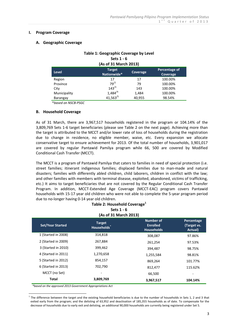#### **I. Program Coverage**

### **A. Geographic Coverage**

| (As of 31 March 2013)                                                           |             |        |         |  |
|---------------------------------------------------------------------------------|-------------|--------|---------|--|
| Percentage of<br>Target<br><b>Level</b><br>Coverage,<br>Nationwide*<br>Coverage |             |        |         |  |
| Region                                                                          | 17          | 17     | 100.00% |  |
| Province                                                                        | $79^{2}$    | 79     | 100.00% |  |
| City                                                                            | $143^{3}$   | 143    | 100.00% |  |
| Municipality                                                                    | $1,484^{4}$ | 1,484  | 100.00% |  |
| Barangay                                                                        | 41,563/5    | 40,955 | 98.54%  |  |

# **Table 1: Geographic Coverage by Level Sets 1 - 6**

\**based on NSCB-PSGC*

### **B. Household Coverage**

As of 31 March, there are 3,967,517 households registered in the program or 104.14% of the 3,809,769 Sets 1-6 target beneficiaries (please see Table 2 on the next page). Achieving more than the target is attributed to the MCCT and/or lower rate of loss of households during the registration due to change in residence, no eligible member, waive, etc. Every expansion we allocate conservative target to ensure achievement for 2013. Of the total number of households, 3,901,017 are covered by regular Pantawid Pamilya program while 66, 500 are covered by Modified Conditional Cash Transfer (MCCT).

The MCCT is a program of Pantawid Pamilya that caters to families in need of special protection (i.e. street families; itinerant indigenous families; displaced families due to man-made and natural disasters; families with differently abled children, child laborers, children in conflict with the law; and other families with members with terminal disease, exploited, abandoned, victims of trafficking, etc.) It aims to target beneficiaries that are not covered by the Regular Conditional Cash Transfer Program. In addition, MCCT-Extended Age Coverage (MCCT-EAC) program covers Pantawid households with 15-17 year old children who were not able to complete the 5-year program period due to no-longer having 0-14 year old children.

**Table 2: Household Coverage<sup>1</sup>**

| Sets $1 - 6$<br>(As of 31 March 2013) |                                          |                                                          |                                      |  |
|---------------------------------------|------------------------------------------|----------------------------------------------------------|--------------------------------------|--|
| <b>Set/Year Started</b>               | <b>Target</b><br>Households <sup>®</sup> | <b>Number of</b><br><b>Enrolled</b><br><b>Households</b> | Percentage<br>(Target vs.<br>Actual) |  |
| 1 (Started in 2008)                   | 314,818                                  | 308,087                                                  | 97.86%                               |  |
| 2 (Started in 2009)                   | 267,884                                  | 261,254                                                  | 97.53%                               |  |
| 3 (Started in 2010)                   | 399,462                                  | 394,487                                                  | 98.75%                               |  |
| 4 (Started in 2011)                   | 1,270,658                                | 1,255,584                                                | 98.81%                               |  |
| 5 (Started in 2012)                   | 854,157                                  | 869,264                                                  | 101.77%                              |  |
| 6 (Started in 2013)                   | 702,790                                  | 812,477                                                  | 115.62%                              |  |
| MCCT (no Set)                         |                                          | 66,500                                                   |                                      |  |
| Total                                 | 3,809,769                                | 3,967,517                                                | 104.14%                              |  |

*\*based on the approved 2013 Government Appropriations Act*

<sup>&</sup>lt;u>.</u>  $1$  The difference between the target and the existing household beneficiaries is due to the number of households in Sets 1, 2 and 3 that exited early from the program; and the delisting of 63,952 and deactivation of 185,355 households as of date. To compensate for the decrease of households due to early exit and delisting, an additional 90,000 households are currently being registered under Set 5.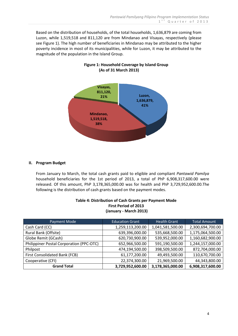Based on the distribution of households, of the total households, 1,636,879 are coming from Luzon, while 1,519,518 and 811,120 are from Mindanao and Visayas, respectively (please see Figure 1). The high number of beneficiaries in Mindanao may be attributed to the higher poverty incidence in most of its municipalities, while for Luzon, it may be attributed to the magnitude of the population in the Island Group.



# **Figure 1: Household Coverage by Island Group (As of 31 March 2013)**

# **II. Program Budget**

From January to March, the total cash grants paid to eligible and compliant *Pantawid Pamilya* household beneficiaries for the 1st period of 2013, a total of PhP 6,908,317,600.00 were released. Of this amount, PhP 3,178,365,000.00 was for health and PhP 3,729,952,600.00.The following is the distribution of cash grants based on the payment modes.

| Table 4: Distribution of Cash Grants per Payment Mode |
|-------------------------------------------------------|
| <b>First Period of 2013</b>                           |
| (January - March 2013)                                |

| Payment Mode                             | <b>Education Grant</b> | <b>Health Grant</b> | <b>Total Amount</b> |
|------------------------------------------|------------------------|---------------------|---------------------|
| Cash Card (CC)                           | 1,259,113,200.00       | 1,041,581,500.00    | 2,300,694,700.00    |
| Rural Bank (Offsite)                     | 639,396,000.00         | 535,668,500.00      | 1,175,064,500.00    |
| Globe Remit (GCash)                      | 620,730,900.00         | 539,952,000.00      | 1,160,682,900.00    |
| Philippiner Postal Corporation (PPC-OTC) | 652,966,500.00         | 591,190,500.00      | 1,244,157,000.00    |
| Philpost                                 | 474,194,500.00         | 398,509,500.00      | 872,704,000.00      |
| First Consolidated Bank (FCB)            | 61,177,200.00          | 49,493,500.00       | 110,670,700.00      |
| Cooperative (CFI)                        | 22,374,300.00          | 21,969,500.00       | 44,343,800.00       |
| <b>Grand Total</b>                       | 3,729,952,600.00       | 3,178,365,000.00    | 6,908,317,600.00    |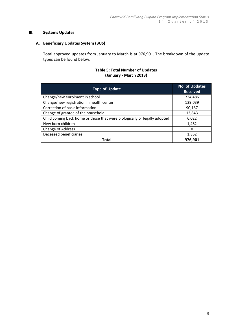## **III. Systems Updates**

# **A. Beneficiary Updates System (BUS)**

Total approved updates from January to March is at 976,901. The breakdown of the update types can be found below.

# **Table 5: Total Number of Updates (January - March 2013)**

| <b>Type of Update</b>                                                     | <b>No. of Updates</b><br><b>Received</b> |
|---------------------------------------------------------------------------|------------------------------------------|
| Change/new enrolment in school                                            | 734,486                                  |
| Change/new registration in health center                                  | 129,039                                  |
| Correction of basic information                                           | 90,167                                   |
| Change of grantee of the household                                        | 13,843                                   |
| Child coming back home or those that were biologically or legally adopted | 6,022                                    |
| New born children                                                         | 1,482                                    |
| Change of Address                                                         | 0                                        |
| Deceased beneficiaries                                                    | 1,862                                    |
| Total                                                                     | 976,901                                  |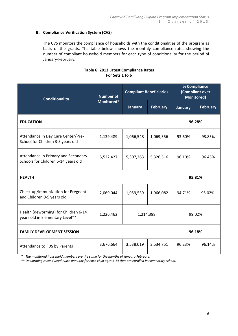# **B. Compliance Verification System (CVS)**

The CVS monitors the compliance of households with the conditionalities of the program as basis of the grants. The table below shows the monthly compliance rates showing the number of compliant household members for each type of conditionality for the period of January-February.

# **Table 6: 2013 Latest Compliance Rates For Sets 1 to 6**

| <b>Conditionality</b>                                                                             | <b>Number of</b><br>Monitored* | <b>Compliant Beneficiaries</b> |                 | % Compliance<br>(Compliant over<br><b>Monitored)</b> |                 |
|---------------------------------------------------------------------------------------------------|--------------------------------|--------------------------------|-----------------|------------------------------------------------------|-----------------|
|                                                                                                   |                                | <b>January</b>                 | <b>February</b> | <b>January</b>                                       | <b>February</b> |
| <b>EDUCATION</b>                                                                                  |                                |                                |                 | 96.28%                                               |                 |
| Attendance in Day Care Center/Pre-<br>School for Children 3-5 years old                           | 1,139,489                      | 1,066,548                      | 1,069,356       | 93.60%                                               | 93.85%          |
| Attendance in Primary and Secondary<br>Schools for Children 6-14 years old                        | 5,522,427                      | 5,307,263                      | 5,326,516       | 96.10%                                               | 96.45%          |
| <b>HEALTH</b>                                                                                     |                                |                                |                 | 95.81%                                               |                 |
| Check-up/immunization for Pregnant<br>and Children 0-5 years old                                  | 2,069,044                      | 1,959,539                      | 1,966,082       | 94.71%                                               | 95.02%          |
| Health (deworming) for Children 6-14<br>1,226,462<br>1,214,388<br>years old in Elementary Level** |                                |                                | 99.02%          |                                                      |                 |
| <b>FAMILY DEVELOPMENT SESSION</b>                                                                 |                                |                                |                 | 96.18%                                               |                 |
| Attendance to FDS by Parents                                                                      | 3,676,664                      | 3,538,019                      | 3,534,751       | 96.23%                                               | 96.14%          |

 **\*** *The monitored household members are the same for the months of January-February.*

 **\*\*** *Deworming is conducted twice annually for each child ages 6-14 that are enrolled in elementary school.*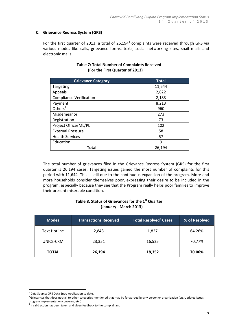# **C. Grievance Redress System (GRS)**

For the first quarter of 2013, a total of 26,194 $^2$  complaints were received through GRS via various modes like calls, grievance forms, texts, social networking sites, snail mails and electronic mails.

| <b>Grievance Category</b>      | <b>Total</b> |
|--------------------------------|--------------|
| Targeting                      | 11,644       |
| Appeals                        | 2,622        |
| <b>Compliance Verification</b> | 2,183        |
| Payment                        | 8,213        |
| Others $3$                     | 960          |
| Misdemeanor                    | 273          |
| Registration                   | 73           |
| Project Office/ML/PL           | 102          |
| <b>External Pressure</b>       | 58           |
| <b>Health Services</b>         | 57           |
| Education                      | 9            |
| Total                          | 26,194       |

# **Table 7: Total Number of Complaints Received (For the First Quarter of 2013)**

The total number of grievances filed in the Grievance Redress System (GRS) for the first quarter is 26,194 cases. Targeting issues gained the most number of complaints for this period with 11,644. This is still due to the continuous expansion of the program. More and more households consider themselves poor, expressing their desire to be included in the program, especially because they see that the Program really helps poor families to improve their present miserable condition.

# **Table 8: Status of Grievances for the 1st Quarter (January - March 2013)**

| <b>Modes</b>        | <b>Transactions Received</b> | Total Resolved <sup>4</sup> Cases | % of Resolved |
|---------------------|------------------------------|-----------------------------------|---------------|
| <b>Text Hotline</b> | 2,843                        | 1,827                             | 64.26%        |
| UNICS-CRM           | 23,351                       | 16,525                            | 70.77%        |
| <b>TOTAL</b>        | 26,194                       | 18,352                            | 70.06%        |

<u>.</u>

<sup>&</sup>lt;sup>2</sup> Data Source: GRS Data Entry Application to date.

<sup>&</sup>lt;sup>3</sup> Grievances that does not fall to other categories mentioned that may be forwarded by any person or organization (eg. Updates issues,

program implementation concerns, etc.)<br><sup>4</sup> If valid action has been taken and given feedback to the complainant.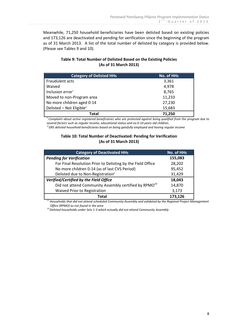Meanwhile, 71,250 household beneficiaries have been delisted based on existing policies and 173,126 are deactivated and pending for verification since the beginning of the program as of 31 March 2013. A list of the total number of delisted by category is provided below. (Please see Tables 9 and 10).

| Table 9: Total Number of Delisted Based on the Existing Policies |
|------------------------------------------------------------------|
| (As of 31 March 2013)                                            |

| <b>Category of Delisted HHs</b>      | <b>No. of HHs</b> |
|--------------------------------------|-------------------|
| Fraudulent acts                      | 3,361             |
| Waived                               | 4,978             |
| Inclusion error <sup>7</sup>         | 8,765             |
| Moved to non-Program area            | 11,233            |
| No more children aged 0-14           | 27,230            |
| Delisted - Not Eligible <sup>8</sup> | 15,683            |
| Total                                | 71.250            |

*<sup>7</sup>Complaint about active registered beneficiaries who are protested against being qualified from the program due to several factors such as regular income, educational status and no 0-14 years old children.*

*<sup>8</sup>GRS delisted household beneficiaries based on being gainfully employed and having regular income*

# **Table 10: Total Number of Deactivated: Pending for Verification (As of 31 March 2013)**

| <b>Category of Deactivated HHs</b>                                | <b>No. of HHs</b> |
|-------------------------------------------------------------------|-------------------|
| <b>Pending for Verification</b>                                   | 155,083           |
| For Final Resolution Prior to Delisting by the Field Office       | 28,202            |
| No more children 0-14 (as of last CVS Period)                     | 95,452            |
| Delisted due to Non-Registration <sup>9</sup>                     | 31,429            |
| Verified/Certified by the Field Office                            | 18,043            |
| Did not attend Community Assembly certified by RPMO <sup>10</sup> | 14,870            |
| Waived Prior to Registration                                      | 3,173             |
| Total                                                             | 173.126           |

*<sup>9</sup>Households that did not attend scheduled Community Assembly and validated by the Regional Project Management Office (RPMO) as not found in the area*

 *<sup>10</sup>Delisted households under Sets 1-3 which actually did not attend Community Assembly*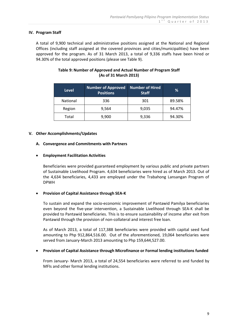# **IV. Program Staff**

A total of 9,900 technical and administrative positions assigned at the National and Regional Offices (including staff assigned at the covered provinces and cities/municipalities) have been approved for the program. As of 31 March 2013, a total of 9,336 staffs have been hired or 94.30% of the total approved positions (please see Table 9).

| <b>Level</b>    | <b>Number of Approved</b><br><b>Positions</b> | Number of Hired<br><b>Staff</b> | ℅      |
|-----------------|-----------------------------------------------|---------------------------------|--------|
| <b>National</b> | 336                                           | 301                             | 89.58% |
| Region          | 9,564                                         | 9,035                           | 94.47% |
| Total           | 9,900                                         | 9,336                           | 94.30% |

# **Table 9: Number of Approved and Actual Number of Program Staff (As of 31 March 2013)**

### **V. Other Accomplishments/Updates**

#### **A. Convergence and Commitments with Partners**

### **Employment Facilitation Activities**

Beneficiaries were provided guaranteed employment by various public and private partners of Sustainable Livelihood Program. 4,634 beneficiaries were hired as of March 2013. Out of the 4,634 beneficiaries, 4,433 are employed under the Trabahong Lansangan Program of DPWH

### **Provision of Capital Assistance through SEA-K**

To sustain and expand the socio-economic improvement of Pantawid Pamilya beneficiaries even beyond the five-year intervention, a Sustainable Livelihood through SEA-K shall be provided to Pantawid beneficiaries. This is to ensure sustainability of income after exit from Pantawid through the provision of non-collateral and interest free loan.

As of March 2013, a total of 117,388 beneficiaries were provided with capital seed fund amounting to Php 912,864,516.00. Out of the aforementioned, 19,064 beneficiaries were served from January-March 2013 amounting to Php 159,644,527.00.

### **Provision of Capital Assistance through Microfinance or Formal lending institutions funded**

From January- March 2013, a total of 24,554 beneficiaries were referred to and funded by MFIs and other formal lending institutions.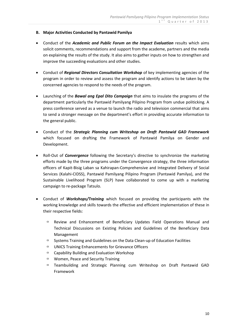# **B. Major Activities Conducted by Pantawid Pamilya**

- Conduct of the *Academic and Public Forum on the Impact Evaluation* results which aims solicit comments, recommendations and support from the academe, partners and the media on explaining the results of the study. It also aims to gather inputs on how to strengthen and improve the succeeding evaluations and other studies.
- Conduct of *Regional Directors Consultation Workshop* of key implementing agencies of the program in order to review and assess the program and identify actions to be taken by the concerned agencies to respond to the needs of the program.
- Launching of the *Bawal ang Epal Dito Campaign* that aims to insulate the programs of the department particularly the Pantawid Pamilyang Pilipino Program from undue politicking. A press conference served as a venue to launch the radio and television commercial that aims to send a stronger message on the department's effort in providing accurate information to the general public.
- Conduct of the *Strategic Planning cum Writeshop on Draft Pantawid GAD Framework* which focused on drafting the Framework of Pantawid Pamilya on Gender and Development.
- Roll-Out of *Convergence* following the Secretary's directive to synchronize the marketing efforts made by the three programs under the Convergence strategy, the three information officers of Kapit-Bisig Laban sa Kahirapan-Comprehensive and Integrated Delivery of Social Services (Kalahi-CIDSS), Pantawid Pamilyang Pilipino Program (Pantawid Pamilya), and the Sustainable Livelihood Program (SLP) have collaborated to come up with a marketing campaign to re-package Tatsulo.
- Conduct of *Workshops/Training* which focused on providing the participants with the working knowledge and skills towards the effective and efficient implementation of these in their respective fields:
	- Review and Enhancement of Beneficiary Updates Field Operations Manual and Technical Discussions on Existing Policies and Guidelines of the Beneficiary Data Management
	- $\Box$  Systems Training and Guidelines on the Data Clean-up of Education Facilities
	- $\Box$  UNICS Training Enhancements for Grievance Officers
	- $\Box$  Capability Building and Evaluation Workshop
	- □ Women, Peace and Security Training
	- Teambuilding and Strategic Planning cum Writeshop on Draft Pantawid GAD Framework